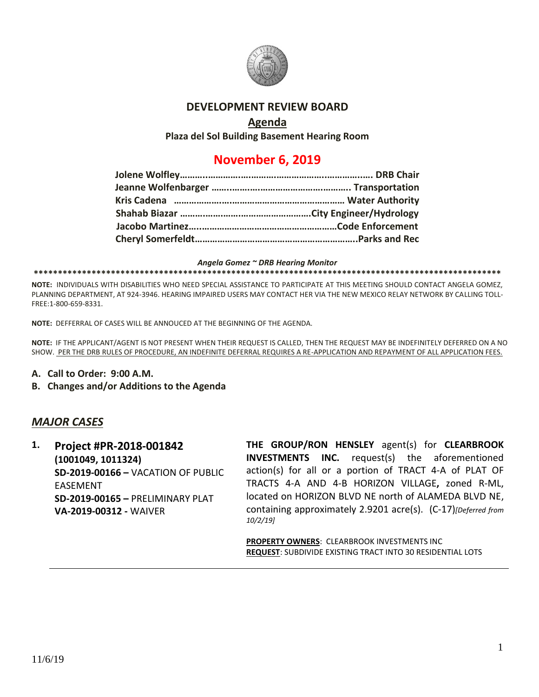

### **DEVELOPMENT REVIEW BOARD**

## **Agenda**

**Plaza del Sol Building Basement Hearing Room**

# **November 6, 2019**

#### *Angela Gomez ~ DRB Hearing Monitor*

#### **\*\*\*\*\*\*\*\*\*\*\*\*\*\*\*\*\*\*\*\*\*\*\*\*\*\*\*\*\*\*\*\*\*\*\*\*\*\*\*\*\*\*\*\*\*\*\*\*\*\*\*\*\*\*\*\*\*\*\*\*\*\*\*\*\*\*\*\*\*\*\*\*\*\*\*\*\*\*\*\*\*\*\*\*\*\*\*\*\*\*\*\*\*\*\*\*\***

**NOTE:** INDIVIDUALS WITH DISABILITIES WHO NEED SPECIAL ASSISTANCE TO PARTICIPATE AT THIS MEETING SHOULD CONTACT ANGELA GOMEZ, PLANNING DEPARTMENT, AT 924-3946. HEARING IMPAIRED USERS MAY CONTACT HER VIA THE NEW MEXICO RELAY NETWORK BY CALLING TOLL-FREE:1-800-659-8331.

**NOTE:** DEFFERRAL OF CASES WILL BE ANNOUCED AT THE BEGINNING OF THE AGENDA.

**NOTE:** IF THE APPLICANT/AGENT IS NOT PRESENT WHEN THEIR REQUEST IS CALLED, THEN THE REQUEST MAY BE INDEFINITELY DEFERRED ON A NO SHOW. PER THE DRB RULES OF PROCEDURE, AN INDEFINITE DEFERRAL REQUIRES A RE-APPLICATION AND REPAYMENT OF ALL APPLICATION FEES.

- **A. Call to Order: 9:00 A.M.**
- **B. Changes and/or Additions to the Agenda**

### *MAJOR CASES*

**1. Project #PR-2018-001842 (1001049, 1011324) SD-2019-00166 –** VACATION OF PUBLIC EASEMENT **SD-2019-00165 –** PRELIMINARY PLAT **VA-2019-00312 -** WAIVER

**THE GROUP/RON HENSLEY** agent(s) for **CLEARBROOK INVESTMENTS INC.** request(s) the aforementioned action(s) for all or a portion of TRACT 4-A of PLAT OF TRACTS 4-A AND 4-B HORIZON VILLAGE**,** zoned R-ML, located on HORIZON BLVD NE north of ALAMEDA BLVD NE, containing approximately 2.9201 acre(s). (C-17)*[Deferred from 10/2/19]*

**PROPERTY OWNERS**: CLEARBROOK INVESTMENTS INC **REQUEST**: SUBDIVIDE EXISTING TRACT INTO 30 RESIDENTIAL LOTS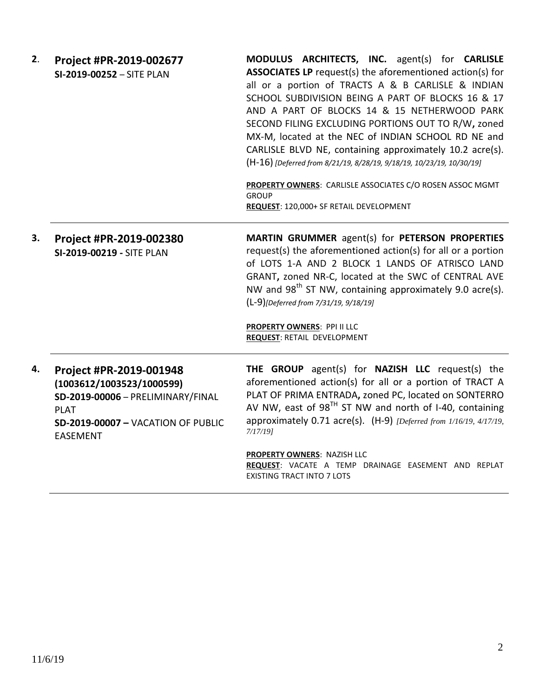| 2. | Project #PR-2019-002677<br>SI-2019-00252 - SITE PLAN                                                                                                                     | MODULUS ARCHITECTS, INC. agent(s) for CARLISLE<br><b>ASSOCIATES LP</b> request(s) the aforementioned action(s) for<br>all or a portion of TRACTS A & B CARLISLE & INDIAN<br>SCHOOL SUBDIVISION BEING A PART OF BLOCKS 16 & 17<br>AND A PART OF BLOCKS 14 & 15 NETHERWOOD PARK<br>SECOND FILING EXCLUDING PORTIONS OUT TO R/W, zoned<br>MX-M, located at the NEC of INDIAN SCHOOL RD NE and<br>CARLISLE BLVD NE, containing approximately 10.2 acre(s).<br>(H-16) [Deferred from 8/21/19, 8/28/19, 9/18/19, 10/23/19, 10/30/19]<br>PROPERTY OWNERS: CARLISLE ASSOCIATES C/O ROSEN ASSOC MGMT<br><b>GROUP</b><br>REQUEST: 120,000+ SF RETAIL DEVELOPMENT |
|----|--------------------------------------------------------------------------------------------------------------------------------------------------------------------------|--------------------------------------------------------------------------------------------------------------------------------------------------------------------------------------------------------------------------------------------------------------------------------------------------------------------------------------------------------------------------------------------------------------------------------------------------------------------------------------------------------------------------------------------------------------------------------------------------------------------------------------------------------|
| 3. | Project #PR-2019-002380<br>SI-2019-00219 - SITE PLAN                                                                                                                     | MARTIN GRUMMER agent(s) for PETERSON PROPERTIES<br>request(s) the aforementioned action(s) for all or a portion<br>of LOTS 1-A AND 2 BLOCK 1 LANDS OF ATRISCO LAND<br>GRANT, zoned NR-C, located at the SWC of CENTRAL AVE<br>NW and $98^{th}$ ST NW, containing approximately 9.0 acre(s).<br>(L-9)[Deferred from 7/31/19, 9/18/19]<br><b>PROPERTY OWNERS: PPI II LLC</b><br><b>REQUEST: RETAIL DEVELOPMENT</b>                                                                                                                                                                                                                                       |
| 4. | Project #PR-2019-001948<br>(1003612/1003523/1000599)<br>SD-2019-00006 - PRELIMINARY/FINAL<br><b>PLAT</b><br><b>SD-2019-00007 - VACATION OF PUBLIC</b><br><b>EASEMENT</b> | THE GROUP agent(s) for NAZISH LLC request(s) the<br>aforementioned action(s) for all or a portion of TRACT A<br>PLAT OF PRIMA ENTRADA, zoned PC, located on SONTERRO<br>AV NW, east of 98 $^{TH}$ ST NW and north of I-40, containing<br>approximately 0.71 acre(s). (H-9) [Deferred from 1/16/19, 4/17/19,<br>$7/17/19$ ]                                                                                                                                                                                                                                                                                                                             |
|    |                                                                                                                                                                          | <b>PROPERTY OWNERS: NAZISH LLC</b><br>REQUEST: VACATE A TEMP DRAINAGE EASEMENT AND REPLAT<br><b>EXISTING TRACT INTO 7 LOTS</b>                                                                                                                                                                                                                                                                                                                                                                                                                                                                                                                         |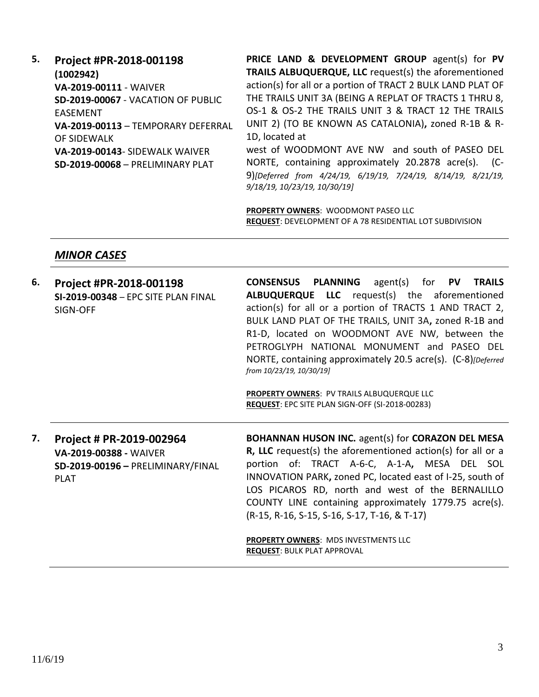| 5. | Project #PR-2018-001198                 | PRICE LAND & DEVELOPMENT GROUP agent(s) for PV                  |
|----|-----------------------------------------|-----------------------------------------------------------------|
|    | (1002942)                               | TRAILS ALBUQUERQUE, LLC request(s) the aforementioned           |
|    | VA-2019-00111 - WAIVER                  | action(s) for all or a portion of TRACT 2 BULK LAND PLAT OF     |
|    | SD-2019-00067 - VACATION OF PUBLIC      | THE TRAILS UNIT 3A (BEING A REPLAT OF TRACTS 1 THRU 8,          |
|    | <b>FASFMENT</b>                         | OS-1 & OS-2 THE TRAILS UNIT 3 & TRACT 12 THE TRAILS             |
|    | VA-2019-00113 - TEMPORARY DEFERRAL      | UNIT 2) (TO BE KNOWN AS CATALONIA), zoned R-1B & R-             |
|    | OF SIDEWALK                             | 1D, located at                                                  |
|    | VA-2019-00143- SIDEWALK WAIVER          | west of WOODMONT AVE NW and south of PASEO DEL                  |
|    | <b>SD-2019-00068 - PRELIMINARY PLAT</b> | NORTE, containing approximately 20.2878 acre(s). (C-            |
|    |                                         | 9) [Deferred from 4/24/19, 6/19/19, 7/24/19, 8/14/19, 8/21/19,  |
|    |                                         | 9/18/19, 10/23/19, 10/30/19]                                    |
|    |                                         |                                                                 |
|    |                                         | PROPERTY OWNERS: WOODMONT PASEO LLC                             |
|    |                                         | <b>REQUEST: DEVELOPMENT OF A 78 RESIDENTIAL LOT SUBDIVISION</b> |

# *MINOR CASES*

| 6. | Project #PR-2018-001198<br>SI-2019-00348 - EPC SITE PLAN FINAL<br>SIGN-OFF                             | <b>CONSENSUS PLANNING</b><br>agent(s) for PV TRAILS<br>ALBUQUERQUE LLC request(s) the aforementioned<br>action(s) for all or a portion of TRACTS 1 AND TRACT 2,<br>BULK LAND PLAT OF THE TRAILS, UNIT 3A, zoned R-1B and<br>R1-D, located on WOODMONT AVE NW, between the<br>PETROGLYPH NATIONAL MONUMENT and PASEO DEL<br>NORTE, containing approximately 20.5 acre(s). (C-8)[Deferred<br>from 10/23/19, 10/30/19]<br><b>PROPERTY OWNERS: PV TRAILS ALBUQUERQUE LLC</b><br>REQUEST: EPC SITE PLAN SIGN-OFF (SI-2018-00283) |
|----|--------------------------------------------------------------------------------------------------------|-----------------------------------------------------------------------------------------------------------------------------------------------------------------------------------------------------------------------------------------------------------------------------------------------------------------------------------------------------------------------------------------------------------------------------------------------------------------------------------------------------------------------------|
| 7. | Project # PR-2019-002964<br>VA-2019-00388 - WAIVER<br>SD-2019-00196 - PRELIMINARY/FINAL<br><b>PLAT</b> | <b>BOHANNAN HUSON INC.</b> agent(s) for <b>CORAZON DEL MESA</b><br><b>R, LLC</b> request(s) the aforementioned action(s) for all or a<br>portion of: TRACT A-6-C, A-1-A, MESA DEL SOL<br>INNOVATION PARK, zoned PC, located east of I-25, south of<br>LOS PICAROS RD, north and west of the BERNALILLO<br>COUNTY LINE containing approximately 1779.75 acre(s).<br>(R-15, R-16, S-15, S-16, S-17, T-16, & T-17)<br><b>PROPERTY OWNERS: MDS INVESTMENTS LLC</b><br><b>REQUEST: BULK PLAT APPROVAL</b>                        |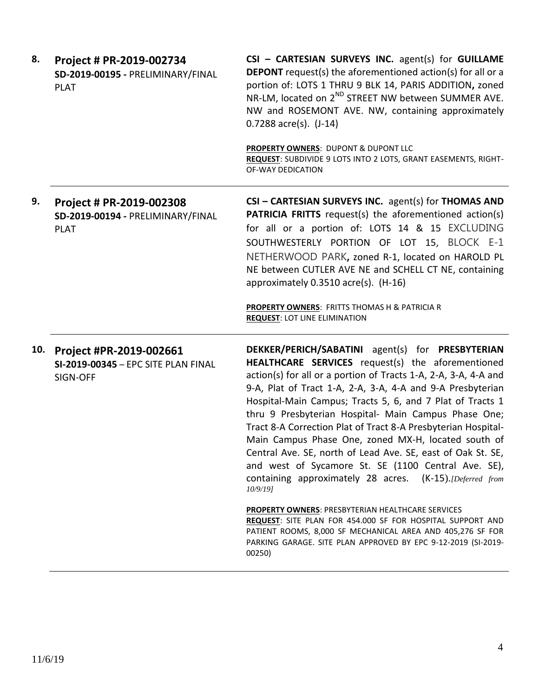| 8.  | Project # PR-2019-002734<br>SD-2019-00195 - PRELIMINARY/FINAL<br><b>PLAT</b> | CSI - CARTESIAN SURVEYS INC. agent(s) for GUILLAME<br><b>DEPONT</b> request(s) the aforementioned action(s) for all or a<br>portion of: LOTS 1 THRU 9 BLK 14, PARIS ADDITION, zoned<br>NR-LM, located on 2 <sup>ND</sup> STREET NW between SUMMER AVE.<br>NW and ROSEMONT AVE. NW, containing approximately<br>$0.7288$ acre(s). $(J-14)$                                                                                                                                                                                                                                                                                                                                                                                                                                                                                                                                                                                                                       |
|-----|------------------------------------------------------------------------------|-----------------------------------------------------------------------------------------------------------------------------------------------------------------------------------------------------------------------------------------------------------------------------------------------------------------------------------------------------------------------------------------------------------------------------------------------------------------------------------------------------------------------------------------------------------------------------------------------------------------------------------------------------------------------------------------------------------------------------------------------------------------------------------------------------------------------------------------------------------------------------------------------------------------------------------------------------------------|
|     |                                                                              | PROPERTY OWNERS: DUPONT & DUPONT LLC<br>REQUEST: SUBDIVIDE 9 LOTS INTO 2 LOTS, GRANT EASEMENTS, RIGHT-<br><b>OF-WAY DEDICATION</b>                                                                                                                                                                                                                                                                                                                                                                                                                                                                                                                                                                                                                                                                                                                                                                                                                              |
| 9.  | Project # PR-2019-002308<br>SD-2019-00194 - PRELIMINARY/FINAL<br><b>PLAT</b> | CSI - CARTESIAN SURVEYS INC. agent(s) for THOMAS AND<br><b>PATRICIA FRITTS</b> request(s) the aforementioned action(s)<br>for all or a portion of: LOTS 14 & 15 EXCLUDING<br>SOUTHWESTERLY PORTION OF LOT 15, BLOCK E-1<br>NETHERWOOD PARK, zoned R-1, located on HAROLD PL<br>NE between CUTLER AVE NE and SCHELL CT NE, containing<br>approximately 0.3510 acre(s). (H-16)<br>PROPERTY OWNERS: FRITTS THOMAS H & PATRICIA R<br><b>REQUEST: LOT LINE ELIMINATION</b>                                                                                                                                                                                                                                                                                                                                                                                                                                                                                           |
| 10. | Project #PR-2019-002661<br>SI-2019-00345 - EPC SITE PLAN FINAL<br>SIGN-OFF   | DEKKER/PERICH/SABATINI agent(s) for PRESBYTERIAN<br>HEALTHCARE SERVICES request(s) the aforementioned<br>action(s) for all or a portion of Tracts 1-A, 2-A, 3-A, 4-A and<br>9-A, Plat of Tract 1-A, 2-A, 3-A, 4-A and 9-A Presbyterian<br>Hospital-Main Campus; Tracts 5, 6, and 7 Plat of Tracts 1<br>thru 9 Presbyterian Hospital- Main Campus Phase One;<br>Tract 8-A Correction Plat of Tract 8-A Presbyterian Hospital-<br>Main Campus Phase One, zoned MX-H, located south of<br>Central Ave. SE, north of Lead Ave. SE, east of Oak St. SE,<br>and west of Sycamore St. SE (1100 Central Ave. SE),<br>containing approximately 28 acres. (K-15). [Deferred from<br>$10/9/19$ ]<br><b>PROPERTY OWNERS: PRESBYTERIAN HEALTHCARE SERVICES</b><br><b>REQUEST:</b> SITE PLAN FOR 454.000 SF FOR HOSPITAL SUPPORT AND<br>PATIENT ROOMS, 8,000 SF MECHANICAL AREA AND 405,276 SF FOR<br>PARKING GARAGE. SITE PLAN APPROVED BY EPC 9-12-2019 (SI-2019-<br>00250) |